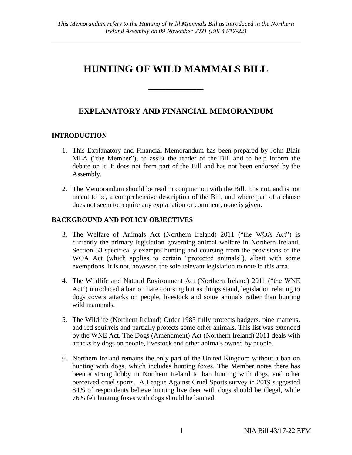# **HUNTING OF WILD MAMMALS BILL**

**\_\_\_\_\_\_\_\_\_\_\_\_\_\_\_\_**

## **EXPLANATORY AND FINANCIAL MEMORANDUM**

### **INTRODUCTION**

- 1. This Explanatory and Financial Memorandum has been prepared by John Blair MLA ("the Member"), to assist the reader of the Bill and to help inform the debate on it. It does not form part of the Bill and has not been endorsed by the Assembly.
- 2. The Memorandum should be read in conjunction with the Bill. It is not, and is not meant to be, a comprehensive description of the Bill, and where part of a clause does not seem to require any explanation or comment, none is given.

#### **BACKGROUND AND POLICY OBJECTIVES**

- 3. The Welfare of Animals Act (Northern Ireland) 2011 ("the WOA Act") is currently the primary legislation governing animal welfare in Northern Ireland. Section 53 specifically exempts hunting and coursing from the provisions of the WOA Act (which applies to certain "protected animals"), albeit with some exemptions. It is not, however, the sole relevant legislation to note in this area.
- 4. The Wildlife and Natural Environment Act (Northern Ireland) 2011 ("the WNE Act") introduced a ban on hare coursing but as things stand, legislation relating to dogs covers attacks on people, livestock and some animals rather than hunting wild mammals.
- 5. The Wildlife (Northern Ireland) Order 1985 fully protects badgers, pine martens, and red squirrels and partially protects some other animals. This list was extended by the WNE Act. The Dogs (Amendment) Act (Northern Ireland) 2011 deals with attacks by dogs on people, livestock and other animals owned by people.
- 6. Northern Ireland remains the only part of the United Kingdom without a ban on hunting with dogs, which includes hunting foxes. The Member notes there has been a strong lobby in Northern Ireland to ban hunting with dogs, and other perceived cruel sports. A League Against Cruel Sports survey in 2019 suggested 84% of respondents believe hunting live deer with dogs should be illegal, while 76% felt hunting foxes with dogs should be banned.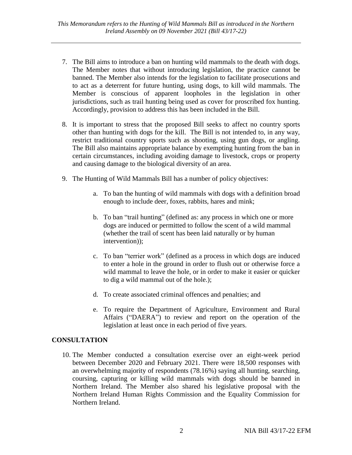- 7. The Bill aims to introduce a ban on hunting wild mammals to the death with dogs. The Member notes that without introducing legislation, the practice cannot be banned. The Member also intends for the legislation to facilitate prosecutions and to act as a deterrent for future hunting, using dogs, to kill wild mammals. The Member is conscious of apparent loopholes in the legislation in other jurisdictions, such as trail hunting being used as cover for proscribed fox hunting. Accordingly, provision to address this has been included in the Bill.
- 8. It is important to stress that the proposed Bill seeks to affect no country sports other than hunting with dogs for the kill. The Bill is not intended to, in any way, restrict traditional country sports such as shooting, using gun dogs, or angling. The Bill also maintains appropriate balance by exempting hunting from the ban in certain circumstances, including avoiding damage to livestock, crops or property and causing damage to the biological diversity of an area.
- 9. The Hunting of Wild Mammals Bill has a number of policy objectives:
	- a. To ban the hunting of wild mammals with dogs with a definition broad enough to include deer, foxes, rabbits, hares and mink;
	- b. To ban "trail hunting" (defined as: any process in which one or more dogs are induced or permitted to follow the scent of a wild mammal (whether the trail of scent has been laid naturally or by human intervention));
	- c. To ban "terrier work" (defined as a process in which dogs are induced to enter a hole in the ground in order to flush out or otherwise force a wild mammal to leave the hole, or in order to make it easier or quicker to dig a wild mammal out of the hole.);
	- d. To create associated criminal offences and penalties; and
	- e. To require the Department of Agriculture, Environment and Rural Affairs ("DAERA") to review and report on the operation of the legislation at least once in each period of five years.

#### **CONSULTATION**

10. The Member conducted a consultation exercise over an eight-week period between December 2020 and February 2021. There were 18,500 responses with an overwhelming majority of respondents (78.16%) saying all hunting, searching, coursing, capturing or killing wild mammals with dogs should be banned in Northern Ireland. The Member also shared his legislative proposal with the Northern Ireland Human Rights Commission and the Equality Commission for Northern Ireland.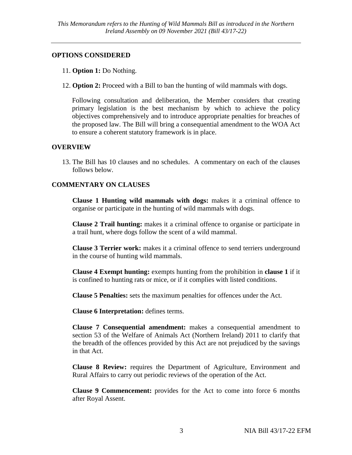#### **OPTIONS CONSIDERED**

- 11. **Option 1:** Do Nothing.
- 12. **Option 2:** Proceed with a Bill to ban the hunting of wild mammals with dogs.

Following consultation and deliberation, the Member considers that creating primary legislation is the best mechanism by which to achieve the policy objectives comprehensively and to introduce appropriate penalties for breaches of the proposed law. The Bill will bring a consequential amendment to the WOA Act to ensure a coherent statutory framework is in place.

#### **OVERVIEW**

13. The Bill has 10 clauses and no schedules. A commentary on each of the clauses follows below.

#### **COMMENTARY ON CLAUSES**

**Clause 1 Hunting wild mammals with dogs:** makes it a criminal offence to organise or participate in the hunting of wild mammals with dogs.

**Clause 2 Trail hunting:** makes it a criminal offence to organise or participate in a trail hunt, where dogs follow the scent of a wild mammal.

**Clause 3 Terrier work:** makes it a criminal offence to send terriers underground in the course of hunting wild mammals.

**Clause 4 Exempt hunting:** exempts hunting from the prohibition in **clause 1** if it is confined to hunting rats or mice, or if it complies with listed conditions.

**Clause 5 Penalties:** sets the maximum penalties for offences under the Act.

**Clause 6 Interpretation:** defines terms.

**Clause 7 Consequential amendment:** makes a consequential amendment to section 53 of the Welfare of Animals Act (Northern Ireland) 2011 to clarify that the breadth of the offences provided by this Act are not prejudiced by the savings in that Act.

**Clause 8 Review:** requires the Department of Agriculture, Environment and Rural Affairs to carry out periodic reviews of the operation of the Act.

**Clause 9 Commencement:** provides for the Act to come into force 6 months after Royal Assent.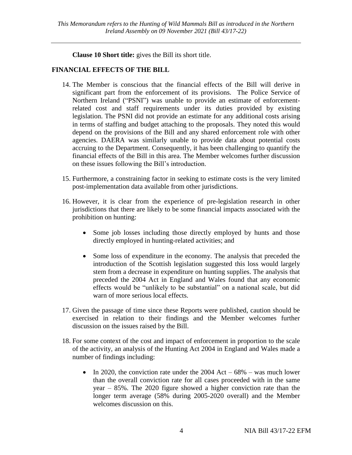**Clause 10 Short title:** gives the Bill its short title.

#### **FINANCIAL EFFECTS OF THE BILL**

- 14. The Member is conscious that the financial effects of the Bill will derive in significant part from the enforcement of its provisions. The Police Service of Northern Ireland ("PSNI") was unable to provide an estimate of enforcementrelated cost and staff requirements under its duties provided by existing legislation. The PSNI did not provide an estimate for any additional costs arising in terms of staffing and budget attaching to the proposals. They noted this would depend on the provisions of the Bill and any shared enforcement role with other agencies. DAERA was similarly unable to provide data about potential costs accruing to the Department. Consequently, it has been challenging to quantify the financial effects of the Bill in this area. The Member welcomes further discussion on these issues following the Bill's introduction.
- 15. Furthermore, a constraining factor in seeking to estimate costs is the very limited post-implementation data available from other jurisdictions.
- 16. However, it is clear from the experience of pre-legislation research in other jurisdictions that there are likely to be some financial impacts associated with the prohibition on hunting:
	- Some job losses including those directly employed by hunts and those directly employed in hunting-related activities; and
	- Some loss of expenditure in the economy. The analysis that preceded the introduction of the Scottish legislation suggested this loss would largely stem from a decrease in expenditure on hunting supplies. The analysis that preceded the 2004 Act in England and Wales found that any economic effects would be "unlikely to be substantial" on a national scale, but did warn of more serious local effects.
- 17. Given the passage of time since these Reports were published, caution should be exercised in relation to their findings and the Member welcomes further discussion on the issues raised by the Bill.
- 18. For some context of the cost and impact of enforcement in proportion to the scale of the activity, an analysis of the Hunting Act 2004 in England and Wales made a number of findings including:
	- In 2020, the conviction rate under the 2004 Act  $68\%$  was much lower than the overall conviction rate for all cases proceeded with in the same year – 85%. The 2020 figure showed a higher conviction rate than the longer term average (58% during 2005-2020 overall) and the Member welcomes discussion on this.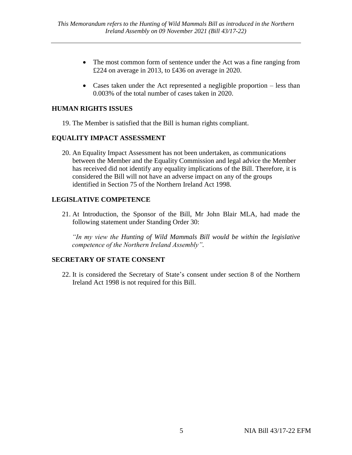- The most common form of sentence under the Act was a fine ranging from £224 on average in 2013, to £436 on average in 2020.
- Cases taken under the Act represented a negligible proportion less than 0.003% of the total number of cases taken in 2020.

#### **HUMAN RIGHTS ISSUES**

19. The Member is satisfied that the Bill is human rights compliant.

#### **EQUALITY IMPACT ASSESSMENT**

20. An Equality Impact Assessment has not been undertaken, as communications between the Member and the Equality Commission and legal advice the Member has received did not identify any equality implications of the Bill. Therefore, it is considered the Bill will not have an adverse impact on any of the groups identified in Section 75 of the Northern Ireland Act 1998.

#### **LEGISLATIVE COMPETENCE**

21. At Introduction, the Sponsor of the Bill, Mr John Blair MLA, had made the following statement under Standing Order 30:

*"In my view the Hunting of Wild Mammals Bill would be within the legislative competence of the Northern Ireland Assembly".*

#### **SECRETARY OF STATE CONSENT**

22. It is considered the Secretary of State's consent under section 8 of the Northern Ireland Act 1998 is not required for this Bill.